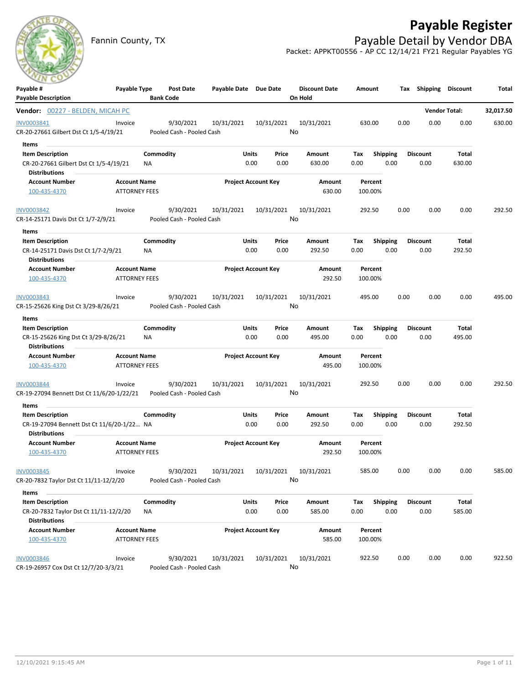## **Payable Register**

Fannin County, TX **Payable Detail by Vendor DBA** Packet: APPKT00556 - AP CC 12/14/21 FY21 Regular Payables YG

| Payable #<br><b>Payable Description</b>                                                   | Payable Type                                |                 | Post Date<br><b>Bank Code</b>          | Payable Date Due Date      |               |                  | <b>Discount Date</b><br>On Hold | Amount             |                         |      | Tax Shipping Discount   |                 | Total     |
|-------------------------------------------------------------------------------------------|---------------------------------------------|-----------------|----------------------------------------|----------------------------|---------------|------------------|---------------------------------|--------------------|-------------------------|------|-------------------------|-----------------|-----------|
| Vendor: 00227 - BELDEN, MICAH PC                                                          |                                             |                 |                                        |                            |               |                  |                                 |                    |                         |      | <b>Vendor Total:</b>    |                 | 32,017.50 |
| INV0003841<br>CR-20-27661 Gilbert Dst Ct 1/5-4/19/21                                      | Invoice                                     |                 | 9/30/2021<br>Pooled Cash - Pooled Cash | 10/31/2021                 |               | 10/31/2021<br>No | 10/31/2021                      | 630.00             |                         | 0.00 | 0.00                    | 0.00            | 630.00    |
| Items                                                                                     |                                             |                 |                                        |                            |               |                  |                                 |                    |                         |      |                         |                 |           |
| <b>Item Description</b><br>CR-20-27661 Gilbert Dst Ct 1/5-4/19/21<br><b>Distributions</b> |                                             | Commodity<br>ΝA |                                        |                            | Units<br>0.00 | Price<br>0.00    | Amount<br>630.00                | Tax<br>0.00        | <b>Shipping</b><br>0.00 |      | <b>Discount</b><br>0.00 | Total<br>630.00 |           |
| <b>Account Number</b>                                                                     | <b>Account Name</b>                         |                 |                                        | <b>Project Account Key</b> |               |                  | Amount                          | Percent            |                         |      |                         |                 |           |
| 100-435-4370                                                                              | <b>ATTORNEY FEES</b>                        |                 |                                        |                            |               |                  | 630.00                          | 100.00%            |                         |      |                         |                 |           |
| <b>INV0003842</b>                                                                         | Invoice                                     |                 | 9/30/2021                              | 10/31/2021                 |               | 10/31/2021       | 10/31/2021                      | 292.50             |                         | 0.00 | 0.00                    | 0.00            | 292.50    |
| CR-14-25171 Davis Dst Ct 1/7-2/9/21                                                       |                                             |                 | Pooled Cash - Pooled Cash              |                            |               | No               |                                 |                    |                         |      |                         |                 |           |
| Items                                                                                     |                                             |                 |                                        |                            |               |                  |                                 |                    |                         |      |                         |                 |           |
| <b>Item Description</b>                                                                   |                                             | Commodity       |                                        |                            | Units         | Price            | Amount                          | Tax                | <b>Shipping</b>         |      | <b>Discount</b>         | Total           |           |
| CR-14-25171 Davis Dst Ct 1/7-2/9/21<br><b>Distributions</b>                               |                                             | ΝA              |                                        |                            | 0.00          | 0.00             | 292.50                          | 0.00               | 0.00                    |      | 0.00                    | 292.50          |           |
| <b>Account Number</b><br>100-435-4370                                                     | <b>Account Name</b><br><b>ATTORNEY FEES</b> |                 |                                        | <b>Project Account Key</b> |               |                  | Amount<br>292.50                | Percent<br>100.00% |                         |      |                         |                 |           |
| <b>INV0003843</b>                                                                         | Invoice                                     |                 | 9/30/2021                              | 10/31/2021                 |               | 10/31/2021       | 10/31/2021                      | 495.00             |                         | 0.00 | 0.00                    | 0.00            | 495.00    |
| CR-15-25626 King Dst Ct 3/29-8/26/21                                                      |                                             |                 | Pooled Cash - Pooled Cash              |                            |               | No               |                                 |                    |                         |      |                         |                 |           |
| Items                                                                                     |                                             |                 |                                        |                            |               |                  |                                 |                    |                         |      |                         |                 |           |
| <b>Item Description</b>                                                                   |                                             | Commodity       |                                        |                            | Units         | Price            | Amount                          | Tax                | <b>Shipping</b>         |      | <b>Discount</b>         | Total           |           |
| CR-15-25626 King Dst Ct 3/29-8/26/21<br><b>Distributions</b>                              |                                             | NA              |                                        |                            | 0.00          | 0.00             | 495.00                          | 0.00               | 0.00                    |      | 0.00                    | 495.00          |           |
| <b>Account Number</b>                                                                     | <b>Account Name</b>                         |                 |                                        | <b>Project Account Key</b> |               |                  | Amount                          | Percent            |                         |      |                         |                 |           |
| 100-435-4370                                                                              | <b>ATTORNEY FEES</b>                        |                 |                                        |                            |               |                  | 495.00                          | 100.00%            |                         |      |                         |                 |           |
| INV0003844                                                                                | Invoice                                     |                 | 9/30/2021                              | 10/31/2021                 |               | 10/31/2021       | 10/31/2021                      | 292.50             |                         | 0.00 | 0.00                    | 0.00            | 292.50    |
| CR-19-27094 Bennett Dst Ct 11/6/20-1/22/21                                                |                                             |                 | Pooled Cash - Pooled Cash              |                            |               | No               |                                 |                    |                         |      |                         |                 |           |
| Items                                                                                     |                                             |                 |                                        |                            |               |                  |                                 |                    |                         |      |                         |                 |           |
| <b>Item Description</b><br>CR-19-27094 Bennett Dst Ct 11/6/20-1/22 NA                     |                                             | Commodity       |                                        |                            | Units<br>0.00 | Price<br>0.00    | Amount<br>292.50                | Tax<br>0.00        | <b>Shipping</b><br>0.00 |      | <b>Discount</b><br>0.00 | Total<br>292.50 |           |
| <b>Distributions</b><br><b>Account Number</b>                                             | <b>Account Name</b>                         |                 |                                        | <b>Project Account Key</b> |               |                  | Amount                          | Percent            |                         |      |                         |                 |           |
| 100-435-4370                                                                              | <b>ATTORNEY FEES</b>                        |                 |                                        |                            |               |                  | 292.50                          | 100.00%            |                         |      |                         |                 |           |
| INV0003845                                                                                | Invoice                                     |                 | 9/30/2021                              | 10/31/2021                 |               | 10/31/2021       | 10/31/2021                      | 585.00             |                         | 0.00 | 0.00                    | 0.00            | 585.00    |
| CR-20-7832 Taylor Dst Ct 11/11-12/2/20                                                    |                                             |                 | Pooled Cash - Pooled Cash              |                            |               | No               |                                 |                    |                         |      |                         |                 |           |
| Items                                                                                     |                                             |                 |                                        |                            |               |                  |                                 |                    |                         |      |                         |                 |           |
| <b>Item Description</b><br>CR-20-7832 Taylor Dst Ct 11/11-12/2/20                         |                                             | Commodity<br>NA |                                        |                            | Units<br>0.00 | Price<br>0.00    | Amount<br>585.00                | Tax<br>0.00        | <b>Shipping</b><br>0.00 |      | <b>Discount</b><br>0.00 | Total<br>585.00 |           |
| <b>Distributions</b><br><b>Account Number</b>                                             | <b>Account Name</b>                         |                 |                                        | <b>Project Account Key</b> |               |                  | Amount                          | Percent            |                         |      |                         |                 |           |
| 100-435-4370                                                                              | <b>ATTORNEY FEES</b>                        |                 |                                        |                            |               |                  | 585.00                          | 100.00%            |                         |      |                         |                 |           |
| <b>INV0003846</b>                                                                         | Invoice                                     |                 | 9/30/2021                              | 10/31/2021                 |               | 10/31/2021       | 10/31/2021                      | 922.50             |                         | 0.00 | 0.00                    | 0.00            | 922.50    |
| CR-19-26957 Cox Dst Ct 12/7/20-3/3/21                                                     |                                             |                 | Pooled Cash - Pooled Cash              |                            |               | No               |                                 |                    |                         |      |                         |                 |           |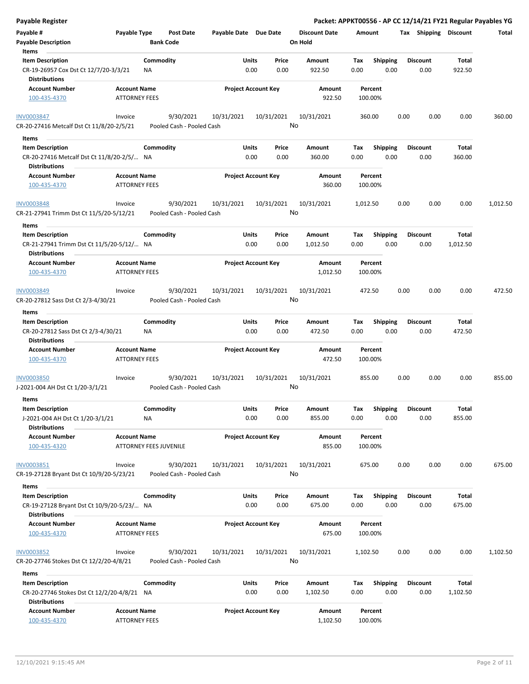| <b>Payable Register</b>                                           |                      |                           |                       |                            |                      |          |                 |      |                       |          | Packet: APPKT00556 - AP CC 12/14/21 FY21 Regular Payables YG |
|-------------------------------------------------------------------|----------------------|---------------------------|-----------------------|----------------------------|----------------------|----------|-----------------|------|-----------------------|----------|--------------------------------------------------------------|
| Payable #                                                         | Payable Type         | Post Date                 | Payable Date Due Date |                            | <b>Discount Date</b> | Amount   |                 |      | Tax Shipping Discount |          | Total                                                        |
| <b>Payable Description</b>                                        |                      | <b>Bank Code</b>          |                       |                            | On Hold              |          |                 |      |                       |          |                                                              |
| Items                                                             |                      |                           |                       |                            |                      |          |                 |      |                       |          |                                                              |
| <b>Item Description</b>                                           |                      | Commodity                 | Units                 | Price                      | Amount               | Tax      | Shipping        |      | <b>Discount</b>       | Total    |                                                              |
| CR-19-26957 Cox Dst Ct 12/7/20-3/3/21                             |                      | <b>NA</b>                 |                       | 0.00<br>0.00               | 922.50               | 0.00     | 0.00            |      | 0.00                  | 922.50   |                                                              |
| <b>Distributions</b>                                              |                      |                           |                       |                            |                      |          |                 |      |                       |          |                                                              |
| Account Number                                                    | <b>Account Name</b>  |                           |                       | <b>Project Account Key</b> | Amount               |          | Percent         |      |                       |          |                                                              |
| 100-435-4370                                                      | <b>ATTORNEY FEES</b> |                           |                       |                            | 922.50               |          | 100.00%         |      |                       |          |                                                              |
| <b>INV0003847</b>                                                 | Invoice              | 9/30/2021                 | 10/31/2021            | 10/31/2021                 | 10/31/2021           |          | 360.00          | 0.00 | 0.00                  | 0.00     | 360.00                                                       |
| CR-20-27416 Metcalf Dst Ct 11/8/20-2/5/21                         |                      | Pooled Cash - Pooled Cash |                       |                            | No                   |          |                 |      |                       |          |                                                              |
| Items                                                             |                      |                           |                       |                            |                      |          |                 |      |                       |          |                                                              |
| <b>Item Description</b>                                           |                      | Commodity                 | Units                 | Price                      | Amount               | Тах      | <b>Shipping</b> |      | <b>Discount</b>       | Total    |                                                              |
| CR-20-27416 Metcalf Dst Ct 11/8/20-2/5/ NA                        |                      |                           |                       | 0.00<br>0.00               | 360.00               | 0.00     | 0.00            |      | 0.00                  | 360.00   |                                                              |
| <b>Distributions</b>                                              |                      |                           |                       |                            |                      |          |                 |      |                       |          |                                                              |
| <b>Account Number</b>                                             | <b>Account Name</b>  |                           |                       | <b>Project Account Key</b> | Amount               |          | Percent         |      |                       |          |                                                              |
| 100-435-4370                                                      | <b>ATTORNEY FEES</b> |                           |                       |                            | 360.00               |          | 100.00%         |      |                       |          |                                                              |
| <b>INV0003848</b>                                                 | Invoice              | 9/30/2021                 | 10/31/2021            | 10/31/2021                 | 10/31/2021           | 1,012.50 |                 | 0.00 | 0.00                  | 0.00     | 1,012.50                                                     |
| CR-21-27941 Trimm Dst Ct 11/5/20-5/12/21                          |                      | Pooled Cash - Pooled Cash |                       |                            | No                   |          |                 |      |                       |          |                                                              |
| Items                                                             |                      |                           |                       |                            |                      |          |                 |      |                       |          |                                                              |
| <b>Item Description</b>                                           |                      | Commodity                 | Units                 | Price                      | Amount               | Tax      | <b>Shipping</b> |      | <b>Discount</b>       | Total    |                                                              |
| CR-21-27941 Trimm Dst Ct 11/5/20-5/12/ NA<br><b>Distributions</b> |                      |                           |                       | 0.00<br>0.00               | 1,012.50             | 0.00     | 0.00            |      | 0.00                  | 1,012.50 |                                                              |
| <b>Account Number</b>                                             | <b>Account Name</b>  |                           |                       | <b>Project Account Key</b> | Amount               |          | Percent         |      |                       |          |                                                              |
| 100-435-4370                                                      | <b>ATTORNEY FEES</b> |                           |                       |                            | 1,012.50             |          | 100.00%         |      |                       |          |                                                              |
| INV0003849                                                        | Invoice              | 9/30/2021                 | 10/31/2021            | 10/31/2021                 | 10/31/2021           |          | 472.50          | 0.00 | 0.00                  | 0.00     | 472.50                                                       |
| CR-20-27812 Sass Dst Ct 2/3-4/30/21                               |                      | Pooled Cash - Pooled Cash |                       |                            | No                   |          |                 |      |                       |          |                                                              |
|                                                                   |                      |                           |                       |                            |                      |          |                 |      |                       |          |                                                              |
| Items                                                             |                      |                           |                       |                            |                      |          |                 |      |                       |          |                                                              |
| <b>Item Description</b>                                           |                      | Commodity                 | Units                 | Price                      | Amount               | Tax      | <b>Shipping</b> |      | <b>Discount</b>       | Total    |                                                              |
| CR-20-27812 Sass Dst Ct 2/3-4/30/21<br><b>Distributions</b>       |                      | NA                        |                       | 0.00<br>0.00               | 472.50               | 0.00     | 0.00            |      | 0.00                  | 472.50   |                                                              |
| <b>Account Number</b>                                             | <b>Account Name</b>  |                           |                       | <b>Project Account Key</b> | Amount               |          | Percent         |      |                       |          |                                                              |
| 100-435-4370                                                      | <b>ATTORNEY FEES</b> |                           |                       |                            | 472.50               |          | 100.00%         |      |                       |          |                                                              |
| INV0003850                                                        | Invoice              | 9/30/2021                 | 10/31/2021            | 10/31/2021                 | 10/31/2021           |          | 855.00          | 0.00 | 0.00                  | 0.00     | 855.00                                                       |
| J-2021-004 AH Dst Ct 1/20-3/1/21                                  |                      | Pooled Cash - Pooled Cash |                       |                            | No                   |          |                 |      |                       |          |                                                              |
| Items                                                             |                      |                           |                       |                            |                      |          |                 |      |                       |          |                                                              |
| <b>Item Description</b>                                           |                      | Commodity                 | Units                 | Price                      | Amount               | Tax      | <b>Shipping</b> |      | <b>Discount</b>       | Total    |                                                              |
| J-2021-004 AH Dst Ct 1/20-3/1/21                                  |                      | NA                        |                       | 0.00<br>0.00               | 855.00               | 0.00     | 0.00            |      | 0.00                  | 855.00   |                                                              |
| <b>Distributions</b>                                              |                      |                           |                       |                            |                      |          |                 |      |                       |          |                                                              |
| Account Number                                                    | <b>Account Name</b>  |                           |                       | <b>Project Account Key</b> | Amount               |          | Percent         |      |                       |          |                                                              |
| 100-435-4320                                                      |                      | ATTORNEY FEES JUVENILE    |                       |                            | 855.00               |          | 100.00%         |      |                       |          |                                                              |
| INV0003851                                                        | Invoice              | 9/30/2021                 | 10/31/2021            | 10/31/2021                 | 10/31/2021           |          | 675.00          | 0.00 | 0.00                  | 0.00     | 675.00                                                       |
| CR-19-27128 Bryant Dst Ct 10/9/20-5/23/21                         |                      | Pooled Cash - Pooled Cash |                       |                            | No                   |          |                 |      |                       |          |                                                              |
| Items                                                             |                      |                           |                       |                            |                      |          |                 |      |                       |          |                                                              |
| <b>Item Description</b>                                           |                      | Commodity                 | <b>Units</b>          | Price                      | Amount               | Tax      | Shipping        |      | <b>Discount</b>       | Total    |                                                              |
| CR-19-27128 Bryant Dst Ct 10/9/20-5/23/ NA                        |                      |                           |                       | 0.00<br>0.00               | 675.00               | 0.00     | 0.00            |      | 0.00                  | 675.00   |                                                              |
| <b>Distributions</b>                                              |                      |                           |                       |                            |                      |          |                 |      |                       |          |                                                              |
| <b>Account Number</b>                                             | <b>Account Name</b>  |                           |                       | <b>Project Account Key</b> | Amount               |          | Percent         |      |                       |          |                                                              |
| 100-435-4370                                                      | <b>ATTORNEY FEES</b> |                           |                       |                            | 675.00               |          | 100.00%         |      |                       |          |                                                              |
| <b>INV0003852</b>                                                 | Invoice              | 9/30/2021                 | 10/31/2021            | 10/31/2021                 | 10/31/2021           | 1,102.50 |                 | 0.00 | 0.00                  | 0.00     | 1,102.50                                                     |
| CR-20-27746 Stokes Dst Ct 12/2/20-4/8/21                          |                      | Pooled Cash - Pooled Cash |                       |                            | No                   |          |                 |      |                       |          |                                                              |
|                                                                   |                      |                           |                       |                            |                      |          |                 |      |                       |          |                                                              |
| Items                                                             |                      |                           |                       |                            |                      |          |                 |      |                       |          |                                                              |
| <b>Item Description</b>                                           |                      | Commodity                 | Units                 | Price                      | Amount               | Tax      | <b>Shipping</b> |      | <b>Discount</b>       | Total    |                                                              |
| CR-20-27746 Stokes Dst Ct 12/2/20-4/8/21 NA                       |                      |                           |                       | 0.00<br>0.00               | 1,102.50             | 0.00     | 0.00            |      | 0.00                  | 1,102.50 |                                                              |
| <b>Distributions</b>                                              |                      |                           |                       |                            |                      |          |                 |      |                       |          |                                                              |
| <b>Account Number</b>                                             | <b>Account Name</b>  |                           |                       | <b>Project Account Key</b> | Amount               |          | Percent         |      |                       |          |                                                              |
| 100-435-4370                                                      | <b>ATTORNEY FEES</b> |                           |                       |                            | 1,102.50             |          | 100.00%         |      |                       |          |                                                              |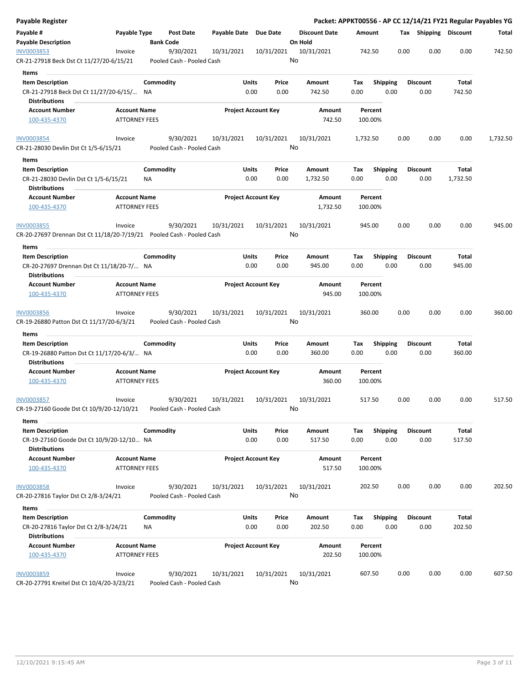| Payable Register                                                                              |                                             |                  |                                        |                       |                            |                              |                      |             |                         |      |                         |                 | Packet: APPKT00556 - AP CC 12/14/21 FY21 Regular Payables YG |
|-----------------------------------------------------------------------------------------------|---------------------------------------------|------------------|----------------------------------------|-----------------------|----------------------------|------------------------------|----------------------|-------------|-------------------------|------|-------------------------|-----------------|--------------------------------------------------------------|
| Payable #<br><b>Payable Description</b>                                                       | Payable Type                                | <b>Bank Code</b> | Post Date                              | Payable Date Due Date |                            | On Hold                      | <b>Discount Date</b> | Amount      |                         |      | Tax Shipping Discount   |                 | Total                                                        |
| INV0003853<br>CR-21-27918 Beck Dst Ct 11/27/20-6/15/21                                        | Invoice                                     |                  | 9/30/2021<br>Pooled Cash - Pooled Cash | 10/31/2021            | 10/31/2021                 | No                           | 10/31/2021           | 742.50      |                         | 0.00 | 0.00                    | 0.00            | 742.50                                                       |
|                                                                                               |                                             |                  |                                        |                       |                            |                              |                      |             |                         |      |                         |                 |                                                              |
| Items<br><b>Item Description</b>                                                              |                                             | Commodity        |                                        | Units                 | Price                      |                              | Amount               | Тах         | Shipping                |      | <b>Discount</b>         | Total           |                                                              |
| CR-21-27918 Beck Dst Ct 11/27/20-6/15/ NA<br><b>Distributions</b>                             |                                             |                  |                                        | 0.00                  | 0.00                       |                              | 742.50               | 0.00        | 0.00                    |      | 0.00                    | 742.50          |                                                              |
| <b>Account Number</b><br>100-435-4370                                                         | <b>Account Name</b><br><b>ATTORNEY FEES</b> |                  |                                        |                       | <b>Project Account Key</b> |                              | Amount<br>742.50     | 100.00%     | Percent                 |      |                         |                 |                                                              |
| <b>INV0003854</b>                                                                             | Invoice                                     |                  | 9/30/2021                              | 10/31/2021            | 10/31/2021                 |                              | 10/31/2021           | 1,732.50    |                         | 0.00 | 0.00                    | 0.00            | 1,732.50                                                     |
| CR-21-28030 Devlin Dst Ct 1/5-6/15/21<br>Items                                                |                                             |                  | Pooled Cash - Pooled Cash              |                       |                            | No                           |                      |             |                         |      |                         |                 |                                                              |
| <b>Item Description</b>                                                                       |                                             | Commodity        |                                        | Units                 | Price                      |                              | Amount               | Тах         | <b>Shipping</b>         |      | <b>Discount</b>         | Total           |                                                              |
| CR-21-28030 Devlin Dst Ct 1/5-6/15/21<br><b>Distributions</b>                                 |                                             | ΝA               |                                        | 0.00                  | 0.00                       |                              | 1,732.50             | 0.00        | 0.00                    |      | 0.00                    | 1,732.50        |                                                              |
| <b>Account Number</b><br>100-435-4370                                                         | <b>Account Name</b><br><b>ATTORNEY FEES</b> |                  |                                        |                       | <b>Project Account Key</b> |                              | Amount<br>1,732.50   | 100.00%     | Percent                 |      |                         |                 |                                                              |
| <b>INV0003855</b><br>CR-20-27697 Drennan Dst Ct 11/18/20-7/19/21    Pooled Cash - Pooled Cash | Invoice                                     |                  | 9/30/2021                              | 10/31/2021            | 10/31/2021                 | No                           | 10/31/2021           | 945.00      |                         | 0.00 | 0.00                    | 0.00            | 945.00                                                       |
| Items                                                                                         |                                             |                  |                                        |                       |                            |                              |                      |             |                         |      |                         |                 |                                                              |
| <b>Item Description</b><br>CR-20-27697 Drennan Dst Ct 11/18/20-7/ NA                          |                                             | Commodity        |                                        | Units<br>0.00         | Price<br>0.00              |                              | Amount<br>945.00     | Tax<br>0.00 | <b>Shipping</b><br>0.00 |      | <b>Discount</b><br>0.00 | Total<br>945.00 |                                                              |
| <b>Distributions</b>                                                                          |                                             |                  |                                        |                       |                            |                              |                      |             |                         |      |                         |                 |                                                              |
| <b>Account Number</b><br>100-435-4370                                                         | <b>Account Name</b><br><b>ATTORNEY FEES</b> |                  |                                        |                       | <b>Project Account Key</b> |                              | Amount<br>945.00     | 100.00%     | Percent                 |      |                         |                 |                                                              |
| <b>INV0003856</b><br>CR-19-26880 Patton Dst Ct 11/17/20-6/3/21                                | Invoice                                     |                  | 9/30/2021<br>Pooled Cash - Pooled Cash | 10/31/2021            | 10/31/2021                 | No                           | 10/31/2021           | 360.00      |                         | 0.00 | 0.00                    | 0.00            | 360.00                                                       |
| Items                                                                                         |                                             |                  |                                        |                       |                            |                              |                      |             |                         |      |                         |                 |                                                              |
| <b>Item Description</b>                                                                       |                                             | Commodity        |                                        | Units                 | Price                      |                              | Amount               | Tax         | <b>Shipping</b>         |      | <b>Discount</b>         | Total           |                                                              |
| CR-19-26880 Patton Dst Ct 11/17/20-6/3/ NA<br><b>Distributions</b>                            |                                             |                  |                                        | 0.00                  | 0.00                       |                              | 360.00               | 0.00        | 0.00                    |      | 0.00                    | 360.00          |                                                              |
| <b>Account Number</b><br>100-435-4370                                                         | <b>Account Name</b><br><b>ATTORNEY FEES</b> |                  |                                        |                       | <b>Project Account Key</b> |                              | Amount<br>360.00     | 100.00%     | Percent                 |      |                         |                 |                                                              |
| INV0003857<br>CR-19-27160 Goode Dst Ct 10/9/20-12/10/21<br>Items                              | Invoice                                     |                  | 9/30/2021<br>Pooled Cash - Pooled Cash | 10/31/2021            | 10/31/2021                 | $\operatorname{\mathsf{No}}$ | 10/31/2021           | 517.50      |                         | 0.00 | 0.00                    | 0.00            | 517.50                                                       |
| <b>Item Description</b>                                                                       |                                             | Commodity        |                                        | <b>Units</b>          | Price                      |                              | Amount               | Tax         | Shipping                |      | <b>Discount</b>         | Total           |                                                              |
| CR-19-27160 Goode Dst Ct 10/9/20-12/10 NA<br><b>Distributions</b>                             |                                             |                  |                                        | 0.00                  | 0.00                       |                              | 517.50               | 0.00        | 0.00                    |      | 0.00                    | 517.50          |                                                              |
| <b>Account Number</b><br>100-435-4370                                                         | <b>Account Name</b><br><b>ATTORNEY FEES</b> |                  |                                        |                       | <b>Project Account Key</b> |                              | Amount<br>517.50     | 100.00%     | Percent                 |      |                         |                 |                                                              |
| INV0003858<br>CR-20-27816 Taylor Dst Ct 2/8-3/24/21                                           | Invoice                                     |                  | 9/30/2021<br>Pooled Cash - Pooled Cash | 10/31/2021            | 10/31/2021                 | No                           | 10/31/2021           | 202.50      |                         | 0.00 | 0.00                    | 0.00            | 202.50                                                       |
| Items                                                                                         |                                             |                  |                                        |                       |                            |                              |                      |             |                         |      |                         |                 |                                                              |
| <b>Item Description</b><br>CR-20-27816 Taylor Dst Ct 2/8-3/24/21                              |                                             | Commodity<br>ΝA  |                                        | <b>Units</b><br>0.00  | Price<br>0.00              |                              | Amount<br>202.50     | Тах<br>0.00 | <b>Shipping</b><br>0.00 |      | <b>Discount</b><br>0.00 | Total<br>202.50 |                                                              |
| <b>Distributions</b>                                                                          |                                             |                  |                                        |                       |                            |                              |                      |             |                         |      |                         |                 |                                                              |
| <b>Account Number</b><br>100-435-4370                                                         | <b>Account Name</b><br><b>ATTORNEY FEES</b> |                  |                                        |                       | <b>Project Account Key</b> |                              | Amount<br>202.50     | 100.00%     | Percent                 |      |                         |                 |                                                              |
| <b>INV0003859</b><br>CR-20-27791 Kreitel Dst Ct 10/4/20-3/23/21                               | Invoice                                     |                  | 9/30/2021<br>Pooled Cash - Pooled Cash | 10/31/2021            | 10/31/2021                 | No                           | 10/31/2021           | 607.50      |                         | 0.00 | 0.00                    | 0.00            | 607.50                                                       |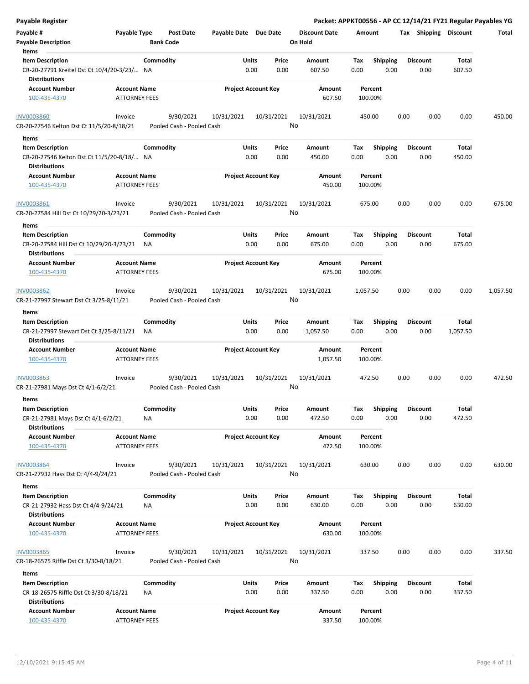| <b>Payable Register</b>                                             |                      |                  |                                        |                            |               |                  |                      |             |                 |      |      |                         |                 | Packet: APPKT00556 - AP CC 12/14/21 FY21 Regular Payables YG |
|---------------------------------------------------------------------|----------------------|------------------|----------------------------------------|----------------------------|---------------|------------------|----------------------|-------------|-----------------|------|------|-------------------------|-----------------|--------------------------------------------------------------|
| Payable #                                                           | Payable Type         |                  | Post Date                              | Payable Date Due Date      |               |                  | <b>Discount Date</b> | Amount      |                 |      |      | Tax Shipping Discount   |                 | Total                                                        |
| <b>Payable Description</b><br>Items                                 |                      | <b>Bank Code</b> |                                        |                            |               |                  | On Hold              |             |                 |      |      |                         |                 |                                                              |
| <b>Item Description</b>                                             |                      | Commodity        |                                        | Units                      |               | Price            | Amount               | Tax         | <b>Shipping</b> |      |      | <b>Discount</b>         | Total           |                                                              |
| CR-20-27791 Kreitel Dst Ct 10/4/20-3/23/ NA<br><b>Distributions</b> |                      |                  |                                        |                            | 0.00          | 0.00             | 607.50               | 0.00        |                 | 0.00 |      | 0.00                    | 607.50          |                                                              |
| <b>Account Number</b>                                               | <b>Account Name</b>  |                  |                                        | <b>Project Account Key</b> |               |                  | Amount               |             | Percent         |      |      |                         |                 |                                                              |
| 100-435-4370                                                        | <b>ATTORNEY FEES</b> |                  |                                        |                            |               |                  | 607.50               |             | 100.00%         |      |      |                         |                 |                                                              |
| <b>INV0003860</b><br>CR-20-27546 Kelton Dst Ct 11/5/20-8/18/21      | Invoice              |                  | 9/30/2021<br>Pooled Cash - Pooled Cash | 10/31/2021                 |               | 10/31/2021<br>No | 10/31/2021           |             | 450.00          |      | 0.00 | 0.00                    | 0.00            | 450.00                                                       |
|                                                                     |                      |                  |                                        |                            |               |                  |                      |             |                 |      |      |                         |                 |                                                              |
| Items                                                               |                      |                  |                                        |                            |               |                  |                      |             |                 |      |      |                         |                 |                                                              |
| <b>Item Description</b>                                             |                      | Commodity        |                                        |                            | Units<br>0.00 | Price<br>0.00    | Amount               | Tax<br>0.00 | <b>Shipping</b> |      |      | <b>Discount</b><br>0.00 | Total<br>450.00 |                                                              |
| CR-20-27546 Kelton Dst Ct 11/5/20-8/18/ NA<br>Distributions         |                      |                  |                                        |                            |               |                  | 450.00               |             |                 | 0.00 |      |                         |                 |                                                              |
| <b>Account Number</b>                                               | <b>Account Name</b>  |                  |                                        | <b>Project Account Key</b> |               |                  | Amount               |             | Percent         |      |      |                         |                 |                                                              |
| 100-435-4370                                                        | ATTORNEY FEES        |                  |                                        |                            |               |                  | 450.00               |             | 100.00%         |      |      |                         |                 |                                                              |
| INV0003861<br>CR-20-27584 Hill Dst Ct 10/29/20-3/23/21              | Invoice              |                  | 9/30/2021<br>Pooled Cash - Pooled Cash | 10/31/2021                 |               | 10/31/2021<br>No | 10/31/2021           |             | 675.00          |      | 0.00 | 0.00                    | 0.00            | 675.00                                                       |
|                                                                     |                      |                  |                                        |                            |               |                  |                      |             |                 |      |      |                         |                 |                                                              |
| Items<br><b>Item Description</b>                                    |                      | Commodity        |                                        |                            | Units         | Price            | Amount               | Tax         | <b>Shipping</b> |      |      | <b>Discount</b>         | Total           |                                                              |
| CR-20-27584 Hill Dst Ct 10/29/20-3/23/21<br><b>Distributions</b>    |                      | ΝA               |                                        |                            | 0.00          | 0.00             | 675.00               | 0.00        |                 | 0.00 |      | 0.00                    | 675.00          |                                                              |
| <b>Account Number</b>                                               | <b>Account Name</b>  |                  |                                        | <b>Project Account Key</b> |               |                  | Amount               |             | Percent         |      |      |                         |                 |                                                              |
| 100-435-4370                                                        | <b>ATTORNEY FEES</b> |                  |                                        |                            |               |                  | 675.00               |             | 100.00%         |      |      |                         |                 |                                                              |
| INV0003862                                                          | Invoice              |                  | 9/30/2021                              | 10/31/2021                 |               | 10/31/2021       | 10/31/2021           | 1,057.50    |                 |      | 0.00 | 0.00                    | 0.00            | 1,057.50                                                     |
| CR-21-27997 Stewart Dst Ct 3/25-8/11/21                             |                      |                  | Pooled Cash - Pooled Cash              |                            |               | No               |                      |             |                 |      |      |                         |                 |                                                              |
| Items                                                               |                      |                  |                                        |                            |               |                  |                      |             |                 |      |      |                         |                 |                                                              |
| <b>Item Description</b>                                             |                      | Commodity        |                                        |                            | Units         | Price            | Amount               | Tax         | <b>Shipping</b> |      |      | <b>Discount</b>         | Total           |                                                              |
| CR-21-27997 Stewart Dst Ct 3/25-8/11/21                             |                      | ΝA               |                                        |                            | 0.00          | 0.00             | 1,057.50             | 0.00        |                 | 0.00 |      | 0.00                    | 1,057.50        |                                                              |
| <b>Distributions</b>                                                |                      |                  |                                        |                            |               |                  |                      |             |                 |      |      |                         |                 |                                                              |
| <b>Account Number</b>                                               | <b>Account Name</b>  |                  |                                        | <b>Project Account Key</b> |               |                  | Amount               |             | Percent         |      |      |                         |                 |                                                              |
| 100-435-4370                                                        | <b>ATTORNEY FEES</b> |                  |                                        |                            |               |                  | 1,057.50             |             | 100.00%         |      |      |                         |                 |                                                              |
| INV0003863                                                          | Invoice              |                  | 9/30/2021                              | 10/31/2021                 |               | 10/31/2021       | 10/31/2021           |             | 472.50          |      | 0.00 | 0.00                    | 0.00            | 472.50                                                       |
| CR-21-27981 Mays Dst Ct 4/1-6/2/21                                  |                      |                  | Pooled Cash - Pooled Cash              |                            |               | No               |                      |             |                 |      |      |                         |                 |                                                              |
| Items                                                               |                      |                  |                                        |                            |               |                  |                      |             |                 |      |      |                         |                 |                                                              |
| <b>Item Description</b>                                             |                      | Commodity        |                                        |                            | Units         | Price            | Amount               | Tax         | Shipping        |      |      | <b>Discount</b>         | <b>Total</b>    |                                                              |
| CR-21-27981 Mays Dst Ct 4/1-6/2/21<br><b>Distributions</b>          |                      | <b>NA</b>        |                                        |                            | 0.00          | 0.00             | 472.50               | 0.00        |                 | 0.00 |      | 0.00                    | 472.50          |                                                              |
| <b>Account Number</b>                                               | <b>Account Name</b>  |                  |                                        | <b>Project Account Key</b> |               |                  | Amount               |             | Percent         |      |      |                         |                 |                                                              |
| 100-435-4370                                                        | <b>ATTORNEY FEES</b> |                  |                                        |                            |               |                  | 472.50               |             | 100.00%         |      |      |                         |                 |                                                              |
| <b>INV0003864</b>                                                   | Invoice              |                  | 9/30/2021                              | 10/31/2021                 |               | 10/31/2021       | 10/31/2021           |             | 630.00          |      | 0.00 | 0.00                    | 0.00            | 630.00                                                       |
| CR-21-27932 Hass Dst Ct 4/4-9/24/21                                 |                      |                  | Pooled Cash - Pooled Cash              |                            |               | No               |                      |             |                 |      |      |                         |                 |                                                              |
| Items                                                               |                      |                  |                                        |                            |               |                  |                      |             |                 |      |      |                         |                 |                                                              |
| <b>Item Description</b>                                             |                      | Commodity        |                                        |                            | Units         | Price            | Amount               | Tax         | <b>Shipping</b> |      |      | <b>Discount</b>         | Total           |                                                              |
| CR-21-27932 Hass Dst Ct 4/4-9/24/21<br><b>Distributions</b>         |                      | NA               |                                        |                            | 0.00          | 0.00             | 630.00               | 0.00        |                 | 0.00 |      | 0.00                    | 630.00          |                                                              |
| <b>Account Number</b>                                               | <b>Account Name</b>  |                  |                                        | <b>Project Account Key</b> |               |                  | Amount               |             | Percent         |      |      |                         |                 |                                                              |
| 100-435-4370                                                        | <b>ATTORNEY FEES</b> |                  |                                        |                            |               |                  | 630.00               |             | 100.00%         |      |      |                         |                 |                                                              |
| <b>INV0003865</b>                                                   | Invoice              |                  | 9/30/2021                              | 10/31/2021                 |               | 10/31/2021       | 10/31/2021           |             | 337.50          |      | 0.00 | 0.00                    | 0.00            | 337.50                                                       |
| CR-18-26575 Riffle Dst Ct 3/30-8/18/21                              |                      |                  | Pooled Cash - Pooled Cash              |                            |               | No               |                      |             |                 |      |      |                         |                 |                                                              |
| Items                                                               |                      |                  |                                        |                            |               |                  |                      |             |                 |      |      |                         |                 |                                                              |
| <b>Item Description</b>                                             |                      | Commodity        |                                        |                            | Units         | Price            | Amount               | Tax         | Shipping        |      |      | <b>Discount</b>         | Total           |                                                              |
| CR-18-26575 Riffle Dst Ct 3/30-8/18/21<br><b>Distributions</b>      |                      | <b>NA</b>        |                                        |                            | 0.00          | 0.00             | 337.50               | 0.00        |                 | 0.00 |      | 0.00                    | 337.50          |                                                              |
| <b>Account Number</b>                                               | <b>Account Name</b>  |                  |                                        | <b>Project Account Key</b> |               |                  | Amount               |             | Percent         |      |      |                         |                 |                                                              |
| 100-435-4370                                                        | ATTORNEY FEES        |                  |                                        |                            |               |                  | 337.50               |             | 100.00%         |      |      |                         |                 |                                                              |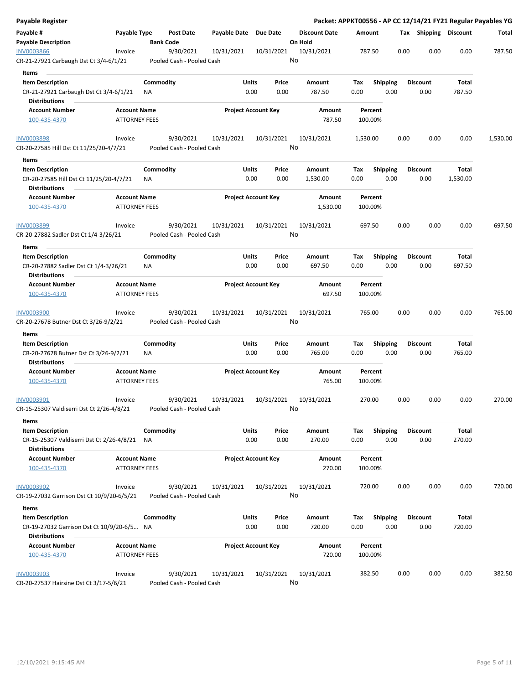| Payable Register                                                  |                      |           |                               |                       |                            |                                 |          |                 |      |                       |          | Packet: APPKT00556 - AP CC 12/14/21 FY21 Regular Payables YG |
|-------------------------------------------------------------------|----------------------|-----------|-------------------------------|-----------------------|----------------------------|---------------------------------|----------|-----------------|------|-----------------------|----------|--------------------------------------------------------------|
| Payable #<br><b>Payable Description</b>                           | Payable Type         |           | Post Date<br><b>Bank Code</b> | Payable Date Due Date |                            | <b>Discount Date</b><br>On Hold | Amount   |                 |      | Tax Shipping Discount |          | Total                                                        |
| INV0003866                                                        | Invoice              |           | 9/30/2021                     | 10/31/2021            | 10/31/2021                 | 10/31/2021                      | 787.50   |                 | 0.00 | 0.00                  | 0.00     | 787.50                                                       |
| CR-21-27921 Carbaugh Dst Ct 3/4-6/1/21                            |                      |           | Pooled Cash - Pooled Cash     |                       |                            | No                              |          |                 |      |                       |          |                                                              |
| Items                                                             |                      |           |                               |                       |                            |                                 |          |                 |      |                       |          |                                                              |
| <b>Item Description</b>                                           |                      | Commodity |                               | Units                 | Price                      | Amount                          | Tax      | <b>Shipping</b> |      | <b>Discount</b>       | Total    |                                                              |
| CR-21-27921 Carbaugh Dst Ct 3/4-6/1/21<br><b>Distributions</b>    |                      | ΝA        |                               | 0.00                  | 0.00                       | 787.50                          | 0.00     | 0.00            |      | 0.00                  | 787.50   |                                                              |
| <b>Account Number</b>                                             | <b>Account Name</b>  |           |                               |                       | <b>Project Account Key</b> | Amount                          |          | Percent         |      |                       |          |                                                              |
| 100-435-4370                                                      | <b>ATTORNEY FEES</b> |           |                               |                       |                            | 787.50                          | 100.00%  |                 |      |                       |          |                                                              |
| <b>INV0003898</b>                                                 | Invoice              |           | 9/30/2021                     | 10/31/2021            | 10/31/2021                 | 10/31/2021                      | 1,530.00 |                 | 0.00 | 0.00                  | 0.00     | 1,530.00                                                     |
| CR-20-27585 Hill Dst Ct 11/25/20-4/7/21<br>Items                  |                      |           | Pooled Cash - Pooled Cash     |                       |                            | No                              |          |                 |      |                       |          |                                                              |
| <b>Item Description</b>                                           |                      | Commodity |                               | Units                 | Price                      | Amount                          | Тах      | <b>Shipping</b> |      | <b>Discount</b>       | Total    |                                                              |
| CR-20-27585 Hill Dst Ct 11/25/20-4/7/21<br><b>Distributions</b>   |                      | ΝA        |                               | 0.00                  | 0.00                       | 1,530.00                        | 0.00     | 0.00            |      | 0.00                  | 1,530.00 |                                                              |
| <b>Account Number</b>                                             | <b>Account Name</b>  |           |                               |                       | <b>Project Account Key</b> | Amount                          |          | Percent         |      |                       |          |                                                              |
| 100-435-4370                                                      | <b>ATTORNEY FEES</b> |           |                               |                       |                            | 1,530.00                        | 100.00%  |                 |      |                       |          |                                                              |
| INV0003899                                                        | Invoice              |           | 9/30/2021                     | 10/31/2021            | 10/31/2021                 | 10/31/2021                      | 697.50   |                 | 0.00 | 0.00                  | 0.00     | 697.50                                                       |
| CR-20-27882 Sadler Dst Ct 1/4-3/26/21                             |                      |           | Pooled Cash - Pooled Cash     |                       |                            | No                              |          |                 |      |                       |          |                                                              |
| Items                                                             |                      |           |                               |                       |                            |                                 |          |                 |      |                       |          |                                                              |
| <b>Item Description</b>                                           |                      | Commodity |                               | Units                 | Price                      | Amount                          | Tax      | <b>Shipping</b> |      | <b>Discount</b>       | Total    |                                                              |
| CR-20-27882 Sadler Dst Ct 1/4-3/26/21<br><b>Distributions</b>     |                      | ΝA        |                               | 0.00                  | 0.00                       | 697.50                          | 0.00     | 0.00            |      | 0.00                  | 697.50   |                                                              |
| <b>Account Number</b>                                             | <b>Account Name</b>  |           |                               |                       | <b>Project Account Key</b> | Amount                          |          | Percent         |      |                       |          |                                                              |
| 100-435-4370                                                      | <b>ATTORNEY FEES</b> |           |                               |                       |                            | 697.50                          | 100.00%  |                 |      |                       |          |                                                              |
| <b>INV0003900</b>                                                 | Invoice              |           | 9/30/2021                     | 10/31/2021            | 10/31/2021                 | 10/31/2021<br>No                | 765.00   |                 | 0.00 | 0.00                  | 0.00     | 765.00                                                       |
| CR-20-27678 Butner Dst Ct 3/26-9/2/21                             |                      |           | Pooled Cash - Pooled Cash     |                       |                            |                                 |          |                 |      |                       |          |                                                              |
| Items                                                             |                      |           |                               |                       |                            |                                 |          |                 |      |                       |          |                                                              |
| <b>Item Description</b>                                           |                      | Commodity |                               | Units                 | Price                      | Amount                          | Tax      | <b>Shipping</b> |      | <b>Discount</b>       | Total    |                                                              |
| CR-20-27678 Butner Dst Ct 3/26-9/2/21<br><b>Distributions</b>     |                      | ΝA        |                               | 0.00                  | 0.00                       | 765.00                          | 0.00     | 0.00            |      | 0.00                  | 765.00   |                                                              |
| <b>Account Number</b>                                             | <b>Account Name</b>  |           |                               |                       | <b>Project Account Key</b> | Amount                          |          | Percent         |      |                       |          |                                                              |
| 100-435-4370                                                      | <b>ATTORNEY FEES</b> |           |                               |                       |                            | 765.00                          | 100.00%  |                 |      |                       |          |                                                              |
| INV0003901                                                        | Invoice              |           | 9/30/2021                     | 10/31/2021            | 10/31/2021                 | 10/31/2021                      | 270.00   |                 | 0.00 | 0.00                  | 0.00     | 270.00                                                       |
| CR-15-25307 Valdiserri Dst Ct 2/26-4/8/21<br>Items                |                      |           | Pooled Cash - Pooled Cash     |                       |                            | No                              |          |                 |      |                       |          |                                                              |
| <b>Item Description</b>                                           |                      | Commodity |                               | Units                 | Price                      | Amount                          | Tax      | <b>Shipping</b> |      | <b>Discount</b>       | Total    |                                                              |
| CR-15-25307 Valdiserri Dst Ct 2/26-4/8/21<br><b>Distributions</b> |                      | <b>NA</b> |                               | 0.00                  | 0.00                       | 270.00                          | 0.00     | 0.00            |      | 0.00                  | 270.00   |                                                              |
| <b>Account Number</b>                                             | <b>Account Name</b>  |           |                               |                       | <b>Project Account Key</b> | Amount                          |          | Percent         |      |                       |          |                                                              |
| 100-435-4370                                                      | <b>ATTORNEY FEES</b> |           |                               |                       |                            | 270.00                          | 100.00%  |                 |      |                       |          |                                                              |
| INV0003902                                                        | Invoice              |           | 9/30/2021                     | 10/31/2021            | 10/31/2021                 | 10/31/2021                      | 720.00   |                 | 0.00 | 0.00                  | 0.00     | 720.00                                                       |
| CR-19-27032 Garrison Dst Ct 10/9/20-6/5/21                        |                      |           | Pooled Cash - Pooled Cash     |                       |                            | No                              |          |                 |      |                       |          |                                                              |
| Items                                                             |                      |           |                               |                       |                            |                                 |          |                 |      |                       |          |                                                              |
| <b>Item Description</b>                                           |                      | Commodity |                               | Units                 | Price                      | Amount                          | Tax      | <b>Shipping</b> |      | <b>Discount</b>       | Total    |                                                              |
| CR-19-27032 Garrison Dst Ct 10/9/20-6/5 NA                        |                      |           |                               | 0.00                  | 0.00                       | 720.00                          | 0.00     | 0.00            |      | 0.00                  | 720.00   |                                                              |
| <b>Distributions</b>                                              |                      |           |                               |                       |                            |                                 |          |                 |      |                       |          |                                                              |
| <b>Account Number</b>                                             | <b>Account Name</b>  |           |                               |                       | <b>Project Account Key</b> | Amount                          |          | Percent         |      |                       |          |                                                              |
| 100-435-4370                                                      | <b>ATTORNEY FEES</b> |           |                               |                       |                            | 720.00                          | 100.00%  |                 |      |                       |          |                                                              |
| <b>INV0003903</b>                                                 | Invoice              |           | 9/30/2021                     | 10/31/2021            | 10/31/2021                 | 10/31/2021                      | 382.50   |                 | 0.00 | 0.00                  | 0.00     | 382.50                                                       |
| CR-20-27537 Hairsine Dst Ct 3/17-5/6/21                           |                      |           | Pooled Cash - Pooled Cash     |                       |                            | No                              |          |                 |      |                       |          |                                                              |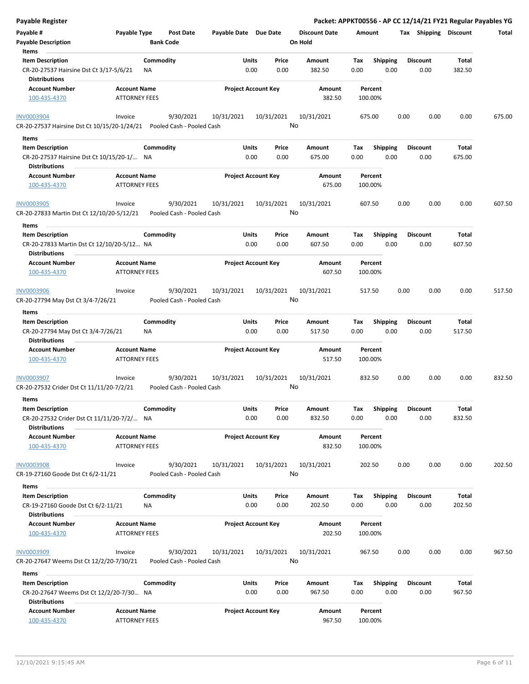| <b>Payable Register</b>                                                                      |                                             |           |                                        |                            |               |                  |                      |             |                    |      |      |                         |                 | Packet: APPKT00556 - AP CC 12/14/21 FY21 Regular Payables YG |
|----------------------------------------------------------------------------------------------|---------------------------------------------|-----------|----------------------------------------|----------------------------|---------------|------------------|----------------------|-------------|--------------------|------|------|-------------------------|-----------------|--------------------------------------------------------------|
| Payable #                                                                                    | Payable Type                                |           | Post Date                              | Payable Date Due Date      |               |                  | <b>Discount Date</b> | Amount      |                    |      |      | Tax Shipping Discount   |                 | Total                                                        |
| <b>Payable Description</b>                                                                   |                                             |           | <b>Bank Code</b>                       |                            |               |                  | On Hold              |             |                    |      |      |                         |                 |                                                              |
| Items                                                                                        |                                             |           |                                        |                            |               |                  |                      |             |                    |      |      |                         |                 |                                                              |
| <b>Item Description</b>                                                                      |                                             | Commodity |                                        |                            | <b>Units</b>  | Price            | Amount               | Tax         | <b>Shipping</b>    |      |      | <b>Discount</b>         | Total           |                                                              |
| CR-20-27537 Hairsine Dst Ct 3/17-5/6/21                                                      |                                             | ΝA        |                                        |                            | 0.00          | 0.00             | 382.50               | 0.00        |                    | 0.00 |      | 0.00                    | 382.50          |                                                              |
| <b>Distributions</b>                                                                         |                                             |           |                                        |                            |               |                  |                      |             |                    |      |      |                         |                 |                                                              |
| <b>Account Number</b>                                                                        | <b>Account Name</b>                         |           |                                        | <b>Project Account Key</b> |               |                  | Amount               |             | Percent            |      |      |                         |                 |                                                              |
| 100-435-4370                                                                                 | <b>ATTORNEY FEES</b>                        |           |                                        |                            |               |                  | 382.50               |             | 100.00%            |      |      |                         |                 |                                                              |
| <b>INV0003904</b><br>CR-20-27537 Hairsine Dst Ct 10/15/20-1/24/21  Pooled Cash - Pooled Cash | Invoice                                     |           | 9/30/2021                              | 10/31/2021                 |               | 10/31/2021<br>No | 10/31/2021           |             | 675.00             |      | 0.00 | 0.00                    | 0.00            | 675.00                                                       |
|                                                                                              |                                             |           |                                        |                            |               |                  |                      |             |                    |      |      |                         |                 |                                                              |
| Items                                                                                        |                                             |           |                                        |                            |               |                  |                      |             |                    |      |      |                         |                 |                                                              |
| <b>Item Description</b>                                                                      |                                             | Commodity |                                        |                            | Units         | Price            | Amount               | Tax         | <b>Shipping</b>    |      |      | <b>Discount</b>         | Total           |                                                              |
| CR-20-27537 Hairsine Dst Ct 10/15/20-1/ NA<br><b>Distributions</b>                           |                                             |           |                                        |                            | 0.00          | 0.00             | 675.00               | 0.00        |                    | 0.00 |      | 0.00                    | 675.00          |                                                              |
| <b>Account Number</b>                                                                        | <b>Account Name</b>                         |           |                                        | <b>Project Account Key</b> |               |                  | Amount               |             | Percent            |      |      |                         |                 |                                                              |
| 100-435-4370                                                                                 | <b>ATTORNEY FEES</b>                        |           |                                        |                            |               |                  | 675.00               |             | 100.00%            |      |      |                         |                 |                                                              |
| <b>INV0003905</b><br>CR-20-27833 Martin Dst Ct 12/10/20-5/12/21                              | Invoice                                     |           | 9/30/2021<br>Pooled Cash - Pooled Cash | 10/31/2021                 |               | 10/31/2021<br>No | 10/31/2021           |             | 607.50             |      | 0.00 | 0.00                    | 0.00            | 607.50                                                       |
|                                                                                              |                                             |           |                                        |                            |               |                  |                      |             |                    |      |      |                         |                 |                                                              |
| Items                                                                                        |                                             |           |                                        |                            |               |                  |                      |             |                    |      |      |                         |                 |                                                              |
| <b>Item Description</b><br>CR-20-27833 Martin Dst Ct 12/10/20-5/12 NA                        |                                             | Commodity |                                        |                            | Units<br>0.00 | Price<br>0.00    | Amount<br>607.50     | Tax<br>0.00 | <b>Shipping</b>    | 0.00 |      | <b>Discount</b><br>0.00 | Total<br>607.50 |                                                              |
| <b>Distributions</b><br><b>Account Number</b>                                                | <b>Account Name</b>                         |           |                                        | <b>Project Account Key</b> |               |                  | Amount               |             | Percent            |      |      |                         |                 |                                                              |
| 100-435-4370                                                                                 | <b>ATTORNEY FEES</b>                        |           |                                        |                            |               |                  | 607.50               |             | 100.00%            |      |      |                         |                 |                                                              |
| <b>INV0003906</b>                                                                            | Invoice                                     |           | 9/30/2021                              | 10/31/2021                 |               | 10/31/2021       | 10/31/2021           |             | 517.50             |      | 0.00 | 0.00                    | 0.00            | 517.50                                                       |
|                                                                                              |                                             |           | Pooled Cash - Pooled Cash              |                            |               | No               |                      |             |                    |      |      |                         |                 |                                                              |
| CR-20-27794 May Dst Ct 3/4-7/26/21                                                           |                                             |           |                                        |                            |               |                  |                      |             |                    |      |      |                         |                 |                                                              |
| Items                                                                                        |                                             |           |                                        |                            |               |                  |                      |             |                    |      |      |                         |                 |                                                              |
| <b>Item Description</b>                                                                      |                                             | Commodity |                                        |                            | Units         | Price            | Amount               | Tax         | <b>Shipping</b>    |      |      | <b>Discount</b>         | Total           |                                                              |
| CR-20-27794 May Dst Ct 3/4-7/26/21<br><b>Distributions</b>                                   |                                             | ΝA        |                                        |                            | 0.00          | 0.00             | 517.50               | 0.00        |                    | 0.00 |      | 0.00                    | 517.50          |                                                              |
| <b>Account Number</b>                                                                        | <b>Account Name</b>                         |           |                                        | <b>Project Account Key</b> |               |                  | Amount               |             | Percent            |      |      |                         |                 |                                                              |
| 100-435-4370                                                                                 | <b>ATTORNEY FEES</b>                        |           |                                        |                            |               |                  | 517.50               |             | 100.00%            |      |      |                         |                 |                                                              |
| INV0003907                                                                                   | Invoice                                     |           | 9/30/2021                              | 10/31/2021                 |               | 10/31/2021       | 10/31/2021           |             | 832.50             |      | 0.00 | 0.00                    | 0.00            | 832.50                                                       |
| CR-20-27532 Crider Dst Ct 11/11/20-7/2/21                                                    |                                             |           | Pooled Cash - Pooled Cash              |                            |               | No               |                      |             |                    |      |      |                         |                 |                                                              |
| Items                                                                                        |                                             |           |                                        |                            |               |                  |                      |             |                    |      |      |                         |                 |                                                              |
| <b>Item Description</b>                                                                      |                                             | Commodity |                                        |                            | Units         | Price            | Amount               | Tax         | Shipping           |      |      | <b>Discount</b>         | Total           |                                                              |
| CR-20-27532 Crider Dst Ct 11/11/20-7/2/ NA<br><b>Distributions</b>                           |                                             |           |                                        |                            | 0.00          | 0.00             | 832.50               | 0.00        |                    | 0.00 |      | 0.00                    | 832.50          |                                                              |
| <b>Account Number</b>                                                                        | <b>Account Name</b>                         |           |                                        | <b>Project Account Key</b> |               |                  | Amount               |             | Percent            |      |      |                         |                 |                                                              |
| 100-435-4370                                                                                 | <b>ATTORNEY FEES</b>                        |           |                                        |                            |               |                  | 832.50               |             | 100.00%            |      |      |                         |                 |                                                              |
| <b>INV0003908</b>                                                                            | Invoice                                     |           | 9/30/2021                              | 10/31/2021                 |               | 10/31/2021       | 10/31/2021           |             | 202.50             |      | 0.00 | 0.00                    | 0.00            | 202.50                                                       |
| CR-19-27160 Goode Dst Ct 6/2-11/21                                                           |                                             |           | Pooled Cash - Pooled Cash              |                            |               | No               |                      |             |                    |      |      |                         |                 |                                                              |
| Items                                                                                        |                                             |           |                                        |                            |               |                  |                      |             |                    |      |      |                         |                 |                                                              |
| <b>Item Description</b>                                                                      |                                             | Commodity |                                        |                            | Units         | Price            | Amount               | Тах         | <b>Shipping</b>    |      |      | <b>Discount</b>         | Total           |                                                              |
| CR-19-27160 Goode Dst Ct 6/2-11/21<br><b>Distributions</b>                                   |                                             | NA        |                                        |                            | 0.00          | 0.00             | 202.50               | 0.00        |                    | 0.00 |      | 0.00                    | 202.50          |                                                              |
| <b>Account Number</b><br>100-435-4370                                                        | <b>Account Name</b><br><b>ATTORNEY FEES</b> |           |                                        | <b>Project Account Key</b> |               |                  | Amount<br>202.50     |             | Percent<br>100.00% |      |      |                         |                 |                                                              |
|                                                                                              |                                             |           |                                        |                            |               |                  |                      |             |                    |      |      |                         |                 |                                                              |
| <b>INV0003909</b>                                                                            | Invoice                                     |           | 9/30/2021                              | 10/31/2021                 |               | 10/31/2021       | 10/31/2021           |             | 967.50             |      | 0.00 | 0.00                    | 0.00            | 967.50                                                       |
| CR-20-27647 Weems Dst Ct 12/2/20-7/30/21                                                     |                                             |           | Pooled Cash - Pooled Cash              |                            |               | No               |                      |             |                    |      |      |                         |                 |                                                              |
| Items                                                                                        |                                             |           |                                        |                            |               |                  |                      |             |                    |      |      |                         |                 |                                                              |
| <b>Item Description</b>                                                                      |                                             | Commodity |                                        |                            | Units         | Price            | Amount               | Tax         | <b>Shipping</b>    |      |      | Discount                | Total           |                                                              |
| CR-20-27647 Weems Dst Ct 12/2/20-7/30 NA<br><b>Distributions</b>                             |                                             |           |                                        |                            | 0.00          | 0.00             | 967.50               | 0.00        |                    | 0.00 |      | 0.00                    | 967.50          |                                                              |
| <b>Account Number</b>                                                                        | <b>Account Name</b>                         |           |                                        | <b>Project Account Key</b> |               |                  | Amount               |             | Percent            |      |      |                         |                 |                                                              |
| 100-435-4370                                                                                 | <b>ATTORNEY FEES</b>                        |           |                                        |                            |               |                  | 967.50               |             | 100.00%            |      |      |                         |                 |                                                              |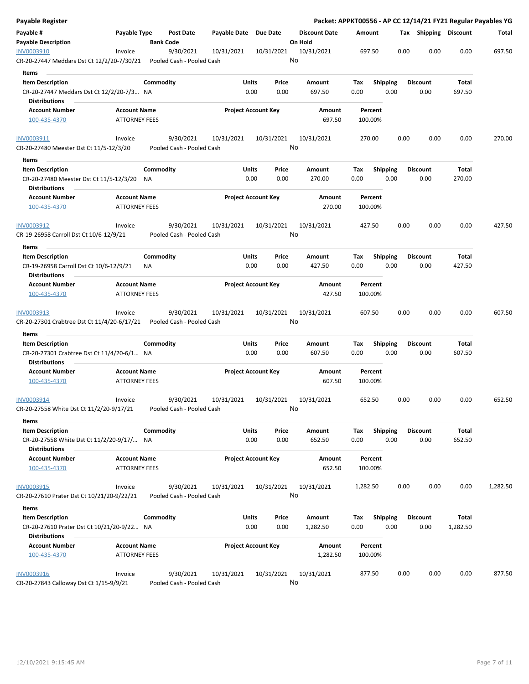| Payable Register                                                   |                                             |           |                                        |                       |                            |    |                                 |          |                    |                 |      |                       |          | Packet: APPKT00556 - AP CC 12/14/21 FY21 Regular Payables YG |
|--------------------------------------------------------------------|---------------------------------------------|-----------|----------------------------------------|-----------------------|----------------------------|----|---------------------------------|----------|--------------------|-----------------|------|-----------------------|----------|--------------------------------------------------------------|
| Payable #<br><b>Payable Description</b>                            | Payable Type                                |           | Post Date<br><b>Bank Code</b>          | Payable Date Due Date |                            |    | <b>Discount Date</b><br>On Hold | Amount   |                    |                 |      | Tax Shipping Discount |          | Total                                                        |
| INV0003910                                                         | Invoice                                     |           | 9/30/2021                              | 10/31/2021            | 10/31/2021                 |    | 10/31/2021                      |          | 697.50             |                 | 0.00 | 0.00                  | 0.00     | 697.50                                                       |
| CR-20-27447 Meddars Dst Ct 12/2/20-7/30/21                         |                                             |           | Pooled Cash - Pooled Cash              |                       |                            | No |                                 |          |                    |                 |      |                       |          |                                                              |
| Items                                                              |                                             |           |                                        |                       |                            |    |                                 |          |                    |                 |      |                       |          |                                                              |
| <b>Item Description</b>                                            |                                             | Commodity |                                        | Units                 | Price                      |    | Amount                          | Тах      |                    | <b>Shipping</b> |      | Discount              | Total    |                                                              |
| CR-20-27447 Meddars Dst Ct 12/2/20-7/3 NA                          |                                             |           |                                        |                       | 0.00<br>0.00               |    | 697.50                          | 0.00     |                    | 0.00            |      | 0.00                  | 697.50   |                                                              |
| <b>Distributions</b>                                               |                                             |           |                                        |                       |                            |    |                                 |          |                    |                 |      |                       |          |                                                              |
| <b>Account Number</b>                                              | <b>Account Name</b>                         |           |                                        |                       | <b>Project Account Key</b> |    | Amount                          |          | Percent            |                 |      |                       |          |                                                              |
| 100-435-4370                                                       | <b>ATTORNEY FEES</b>                        |           |                                        |                       |                            |    | 697.50                          |          | 100.00%            |                 |      |                       |          |                                                              |
| INV0003911                                                         | Invoice                                     |           | 9/30/2021                              | 10/31/2021            | 10/31/2021                 |    | 10/31/2021                      |          | 270.00             |                 | 0.00 | 0.00                  | 0.00     | 270.00                                                       |
| CR-20-27480 Meester Dst Ct 11/5-12/3/20                            |                                             |           | Pooled Cash - Pooled Cash              |                       |                            | No |                                 |          |                    |                 |      |                       |          |                                                              |
| Items                                                              |                                             |           |                                        |                       |                            |    |                                 |          |                    |                 |      |                       |          |                                                              |
| <b>Item Description</b>                                            |                                             | Commodity |                                        | Units                 | Price                      |    | Amount                          | Tax      |                    | <b>Shipping</b> |      | <b>Discount</b>       | Total    |                                                              |
| CR-20-27480 Meester Dst Ct 11/5-12/3/20 NA<br><b>Distributions</b> |                                             |           |                                        |                       | 0.00<br>0.00               |    | 270.00                          | 0.00     |                    | 0.00            |      | 0.00                  | 270.00   |                                                              |
| <b>Account Number</b><br>100-435-4370                              | <b>Account Name</b><br><b>ATTORNEY FEES</b> |           |                                        |                       | <b>Project Account Key</b> |    | Amount<br>270.00                |          | Percent<br>100.00% |                 |      |                       |          |                                                              |
| INV0003912                                                         | Invoice                                     |           | 9/30/2021                              | 10/31/2021            | 10/31/2021                 |    | 10/31/2021                      |          | 427.50             |                 | 0.00 | 0.00                  | 0.00     | 427.50                                                       |
| CR-19-26958 Carroll Dst Ct 10/6-12/9/21                            |                                             |           | Pooled Cash - Pooled Cash              |                       |                            | No |                                 |          |                    |                 |      |                       |          |                                                              |
| Items                                                              |                                             |           |                                        |                       |                            |    |                                 |          |                    |                 |      |                       |          |                                                              |
| <b>Item Description</b>                                            |                                             | Commodity |                                        | Units                 | Price                      |    | Amount                          | Tax      |                    | <b>Shipping</b> |      | <b>Discount</b>       | Total    |                                                              |
| CR-19-26958 Carroll Dst Ct 10/6-12/9/21                            |                                             | ΝA        |                                        |                       | 0.00<br>0.00               |    | 427.50                          | 0.00     |                    | 0.00            |      | 0.00                  | 427.50   |                                                              |
| <b>Distributions</b>                                               |                                             |           |                                        |                       |                            |    |                                 |          |                    |                 |      |                       |          |                                                              |
| <b>Account Number</b>                                              | <b>Account Name</b>                         |           |                                        |                       | <b>Project Account Key</b> |    | Amount                          |          | Percent            |                 |      |                       |          |                                                              |
| 100-435-4370                                                       | <b>ATTORNEY FEES</b>                        |           |                                        |                       |                            |    | 427.50                          |          | 100.00%            |                 |      |                       |          |                                                              |
| INV0003913<br>CR-20-27301 Crabtree Dst Ct 11/4/20-6/17/21          | Invoice                                     |           | 9/30/2021<br>Pooled Cash - Pooled Cash | 10/31/2021            | 10/31/2021                 | No | 10/31/2021                      |          | 607.50             |                 | 0.00 | 0.00                  | 0.00     | 607.50                                                       |
| Items                                                              |                                             |           |                                        |                       |                            |    |                                 |          |                    |                 |      |                       |          |                                                              |
| <b>Item Description</b>                                            |                                             | Commodity |                                        | Units                 | Price                      |    | Amount                          | Tax      |                    | <b>Shipping</b> |      | <b>Discount</b>       | Total    |                                                              |
| CR-20-27301 Crabtree Dst Ct 11/4/20-6/1 NA                         |                                             |           |                                        |                       | 0.00<br>0.00               |    | 607.50                          | 0.00     |                    | 0.00            |      | 0.00                  | 607.50   |                                                              |
| <b>Distributions</b>                                               |                                             |           |                                        |                       |                            |    |                                 |          |                    |                 |      |                       |          |                                                              |
| <b>Account Number</b>                                              | <b>Account Name</b>                         |           |                                        |                       | <b>Project Account Key</b> |    | Amount                          |          | Percent            |                 |      |                       |          |                                                              |
| 100-435-4370                                                       | <b>ATTORNEY FEES</b>                        |           |                                        |                       |                            |    | 607.50                          |          | 100.00%            |                 |      |                       |          |                                                              |
| INV0003914                                                         | Invoice                                     |           | 9/30/2021                              | 10/31/2021            | 10/31/2021                 |    | 10/31/2021                      |          | 652.50             |                 | 0.00 | 0.00                  | 0.00     | 652.50                                                       |
| CR-20-27558 White Dst Ct 11/2/20-9/17/21                           |                                             |           | Pooled Cash - Pooled Cash              |                       |                            | No |                                 |          |                    |                 |      |                       |          |                                                              |
| Items                                                              |                                             |           |                                        |                       |                            |    |                                 |          |                    |                 |      |                       |          |                                                              |
| <b>Item Description</b>                                            |                                             | Commodity |                                        | Units                 | Price                      |    | Amount                          | Tax      |                    | <b>Shipping</b> |      | <b>Discount</b>       | Total    |                                                              |
| CR-20-27558 White Dst Ct 11/2/20-9/17/ NA<br><b>Distributions</b>  |                                             |           |                                        |                       | 0.00<br>0.00               |    | 652.50                          | 0.00     |                    | 0.00            |      | 0.00                  | 652.50   |                                                              |
| <b>Account Number</b>                                              | <b>Account Name</b>                         |           |                                        |                       | <b>Project Account Key</b> |    | Amount                          |          | Percent            |                 |      |                       |          |                                                              |
| 100-435-4370                                                       | <b>ATTORNEY FEES</b>                        |           |                                        |                       |                            |    | 652.50                          |          | 100.00%            |                 |      |                       |          |                                                              |
| INV0003915                                                         | Invoice                                     |           | 9/30/2021                              | 10/31/2021            | 10/31/2021                 |    | 10/31/2021                      | 1,282.50 |                    |                 | 0.00 | 0.00                  | 0.00     | 1,282.50                                                     |
| CR-20-27610 Prater Dst Ct 10/21/20-9/22/21                         |                                             |           | Pooled Cash - Pooled Cash              |                       |                            | No |                                 |          |                    |                 |      |                       |          |                                                              |
| Items                                                              |                                             |           |                                        |                       |                            |    |                                 |          |                    |                 |      |                       |          |                                                              |
| <b>Item Description</b>                                            |                                             | Commodity |                                        | Units                 | Price                      |    | Amount                          | Tax      |                    | <b>Shipping</b> |      | <b>Discount</b>       | Total    |                                                              |
| CR-20-27610 Prater Dst Ct 10/21/20-9/22 NA                         |                                             |           |                                        |                       | 0.00<br>0.00               |    | 1,282.50                        | 0.00     |                    | 0.00            |      | 0.00                  | 1,282.50 |                                                              |
| <b>Distributions</b>                                               |                                             |           |                                        |                       |                            |    |                                 |          |                    |                 |      |                       |          |                                                              |
| <b>Account Number</b>                                              | <b>Account Name</b>                         |           |                                        |                       | <b>Project Account Key</b> |    | Amount                          |          | Percent            |                 |      |                       |          |                                                              |
| 100-435-4370                                                       | <b>ATTORNEY FEES</b>                        |           |                                        |                       |                            |    | 1,282.50                        |          | 100.00%            |                 |      |                       |          |                                                              |
| INV0003916                                                         | Invoice                                     |           | 9/30/2021                              | 10/31/2021            | 10/31/2021                 |    | 10/31/2021                      |          | 877.50             |                 | 0.00 | 0.00                  | 0.00     | 877.50                                                       |
| CR-20-27843 Calloway Dst Ct 1/15-9/9/21                            |                                             |           | Pooled Cash - Pooled Cash              |                       |                            | No |                                 |          |                    |                 |      |                       |          |                                                              |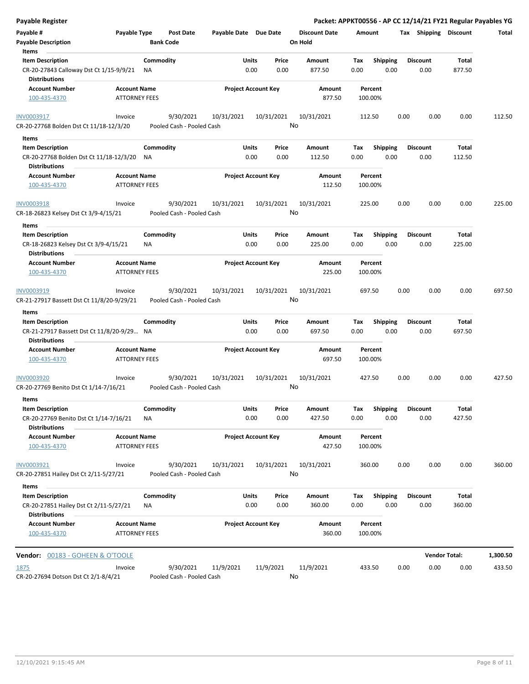| Payable Register                                                                          |                                             |                  |                                        |                            |            |               |                                 |                    |                         |      |                         | Packet: APPKT00556 - AP CC 12/14/21 FY21 Regular Payables YG |          |
|-------------------------------------------------------------------------------------------|---------------------------------------------|------------------|----------------------------------------|----------------------------|------------|---------------|---------------------------------|--------------------|-------------------------|------|-------------------------|--------------------------------------------------------------|----------|
| Payable #<br><b>Payable Description</b>                                                   | Payable Type                                | <b>Bank Code</b> | Post Date                              | Payable Date Due Date      |            |               | <b>Discount Date</b><br>On Hold | Amount             |                         |      | Tax Shipping Discount   |                                                              | Total    |
| Items                                                                                     |                                             |                  |                                        |                            |            |               |                                 |                    |                         |      |                         |                                                              |          |
| <b>Item Description</b>                                                                   |                                             | Commodity        |                                        | Units                      |            | Price         | Amount                          | Tax                | <b>Shipping</b>         |      | <b>Discount</b>         | Total                                                        |          |
| CR-20-27843 Calloway Dst Ct 1/15-9/9/21<br><b>Distributions</b>                           |                                             | ΝA               |                                        |                            | 0.00       | 0.00          | 877.50                          | 0.00               | 0.00                    |      | 0.00                    | 877.50                                                       |          |
| <b>Account Number</b>                                                                     | <b>Account Name</b>                         |                  |                                        | <b>Project Account Key</b> |            |               | Amount                          | Percent            |                         |      |                         |                                                              |          |
| 100-435-4370                                                                              | <b>ATTORNEY FEES</b>                        |                  |                                        |                            |            |               | 877.50                          | 100.00%            |                         |      |                         |                                                              |          |
| INV0003917                                                                                | Invoice                                     |                  | 9/30/2021                              | 10/31/2021                 | 10/31/2021 |               | 10/31/2021                      | 112.50             |                         | 0.00 | 0.00                    | 0.00                                                         | 112.50   |
| CR-20-27768 Bolden Dst Ct 11/18-12/3/20                                                   |                                             |                  | Pooled Cash - Pooled Cash              |                            |            | No            |                                 |                    |                         |      |                         |                                                              |          |
| Items                                                                                     |                                             |                  |                                        |                            |            |               |                                 |                    |                         |      |                         |                                                              |          |
| <b>Item Description</b><br>CR-20-27768 Bolden Dst Ct 11/18-12/3/20                        |                                             | Commodity<br>NA  |                                        | Units                      | 0.00       | Price<br>0.00 | Amount<br>112.50                | Tax<br>0.00        | <b>Shipping</b><br>0.00 |      | <b>Discount</b><br>0.00 | Total<br>112.50                                              |          |
| <b>Distributions</b>                                                                      |                                             |                  |                                        |                            |            |               |                                 |                    |                         |      |                         |                                                              |          |
| <b>Account Number</b><br>100-435-4370                                                     | <b>Account Name</b><br><b>ATTORNEY FEES</b> |                  |                                        | <b>Project Account Key</b> |            |               | Amount<br>112.50                | Percent<br>100.00% |                         |      |                         |                                                              |          |
| <b>INV0003918</b>                                                                         | Invoice                                     |                  | 9/30/2021                              | 10/31/2021                 | 10/31/2021 |               | 10/31/2021                      | 225.00             |                         | 0.00 | 0.00                    | 0.00                                                         | 225.00   |
| CR-18-26823 Kelsey Dst Ct 3/9-4/15/21                                                     |                                             |                  | Pooled Cash - Pooled Cash              |                            |            | No            |                                 |                    |                         |      |                         |                                                              |          |
| Items                                                                                     |                                             |                  |                                        |                            |            |               |                                 |                    |                         |      |                         |                                                              |          |
| <b>Item Description</b>                                                                   |                                             | Commodity        |                                        | Units                      |            | Price         | Amount                          | Tax                | <b>Shipping</b>         |      | <b>Discount</b>         | Total                                                        |          |
| CR-18-26823 Kelsey Dst Ct 3/9-4/15/21<br><b>Distributions</b>                             |                                             | ΝA               |                                        |                            | 0.00       | 0.00          | 225.00                          | 0.00               | 0.00                    |      | 0.00                    | 225.00                                                       |          |
| <b>Account Number</b>                                                                     | <b>Account Name</b>                         |                  |                                        | <b>Project Account Key</b> |            |               | Amount                          | Percent            |                         |      |                         |                                                              |          |
| 100-435-4370                                                                              | <b>ATTORNEY FEES</b>                        |                  |                                        |                            |            |               | 225.00                          | 100.00%            |                         |      |                         |                                                              |          |
| INV0003919                                                                                | Invoice                                     |                  | 9/30/2021                              | 10/31/2021                 | 10/31/2021 |               | 10/31/2021                      | 697.50             |                         | 0.00 | 0.00                    | 0.00                                                         | 697.50   |
| CR-21-27917 Bassett Dst Ct 11/8/20-9/29/21                                                |                                             |                  | Pooled Cash - Pooled Cash              |                            |            |               | No                              |                    |                         |      |                         |                                                              |          |
| Items                                                                                     |                                             |                  |                                        |                            |            |               |                                 |                    |                         |      |                         |                                                              |          |
| <b>Item Description</b>                                                                   |                                             | Commodity        |                                        | Units                      |            | Price         | Amount                          | Tax                | <b>Shipping</b>         |      | <b>Discount</b>         | Total                                                        |          |
| CR-21-27917 Bassett Dst Ct 11/8/20-9/29 NA<br><b>Distributions</b>                        |                                             |                  |                                        |                            | 0.00       | 0.00          | 697.50                          | 0.00               | 0.00                    |      | 0.00                    | 697.50                                                       |          |
| <b>Account Number</b>                                                                     | <b>Account Name</b>                         |                  |                                        | <b>Project Account Key</b> |            |               | Amount                          | Percent            |                         |      |                         |                                                              |          |
| 100-435-4370                                                                              | <b>ATTORNEY FEES</b>                        |                  |                                        |                            |            |               | 697.50                          | 100.00%            |                         |      |                         |                                                              |          |
| INV0003920<br>CR-20-27769 Benito Dst Ct 1/14-7/16/21                                      | Invoice                                     |                  | 9/30/2021<br>Pooled Cash - Pooled Cash | 10/31/2021                 | 10/31/2021 |               | 10/31/2021<br>No                | 427.50             |                         | 0.00 | 0.00                    | 0.00                                                         | 427.50   |
|                                                                                           |                                             |                  |                                        |                            |            |               |                                 |                    |                         |      |                         |                                                              |          |
| Items<br><b>Item Description</b>                                                          |                                             | Commodity        |                                        | Units                      |            | Price         | Amount                          | Tax                | Shipping                |      | <b>Discount</b>         | Total                                                        |          |
| CR-20-27769 Benito Dst Ct 1/14-7/16/21                                                    |                                             | NA               |                                        |                            | 0.00       | 0.00          | 427.50                          | 0.00               | 0.00                    |      | 0.00                    | 427.50                                                       |          |
| <b>Distributions</b>                                                                      |                                             |                  |                                        |                            |            |               |                                 |                    |                         |      |                         |                                                              |          |
| <b>Account Number</b><br>100-435-4370                                                     | <b>Account Name</b><br><b>ATTORNEY FEES</b> |                  |                                        | <b>Project Account Key</b> |            |               | Amount<br>427.50                | Percent<br>100.00% |                         |      |                         |                                                              |          |
| INV0003921                                                                                | Invoice                                     |                  | 9/30/2021                              | 10/31/2021                 | 10/31/2021 |               | 10/31/2021                      | 360.00             |                         | 0.00 | 0.00                    | 0.00                                                         | 360.00   |
| CR-20-27851 Hailey Dst Ct 2/11-5/27/21                                                    |                                             |                  | Pooled Cash - Pooled Cash              |                            |            | No            |                                 |                    |                         |      |                         |                                                              |          |
| Items                                                                                     |                                             |                  |                                        |                            |            |               |                                 |                    |                         |      |                         |                                                              |          |
| <b>Item Description</b><br>CR-20-27851 Hailey Dst Ct 2/11-5/27/21<br><b>Distributions</b> |                                             | Commodity<br>ΝA  |                                        | Units                      | 0.00       | Price<br>0.00 | Amount<br>360.00                | Tax<br>0.00        | <b>Shipping</b><br>0.00 |      | <b>Discount</b><br>0.00 | Total<br>360.00                                              |          |
| <b>Account Number</b><br>100-435-4370                                                     | <b>Account Name</b><br><b>ATTORNEY FEES</b> |                  |                                        | <b>Project Account Key</b> |            |               | Amount<br>360.00                | Percent<br>100.00% |                         |      |                         |                                                              |          |
| <b>Vendor: 00183 - GOHEEN &amp; O'TOOLE</b>                                               |                                             |                  |                                        |                            |            |               |                                 |                    |                         |      | <b>Vendor Total:</b>    |                                                              | 1,300.50 |
| 1875                                                                                      | Invoice                                     |                  | 9/30/2021                              | 11/9/2021                  | 11/9/2021  |               | 11/9/2021                       | 433.50             |                         | 0.00 | 0.00                    | 0.00                                                         | 433.50   |
| CR-20-27694 Dotson Dst Ct 2/1-8/4/21                                                      |                                             |                  | Pooled Cash - Pooled Cash              |                            |            |               | No                              |                    |                         |      |                         |                                                              |          |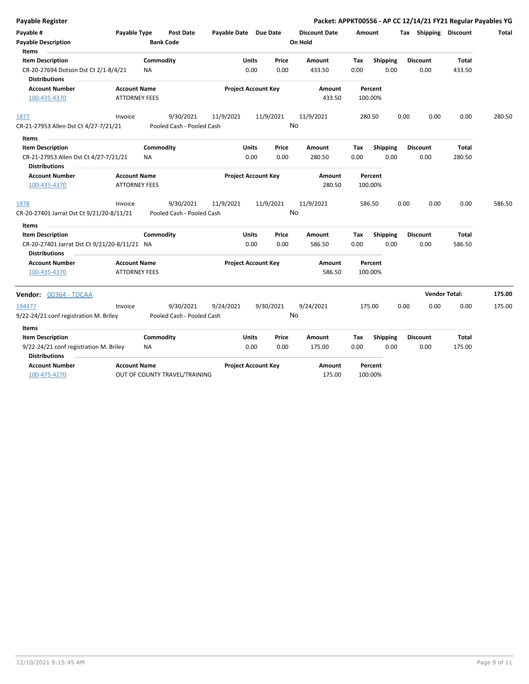| Total  |
|--------|
|        |
|        |
|        |
|        |
|        |
|        |
| 280.50 |
|        |
|        |
|        |
|        |
|        |
|        |
| 586.50 |
|        |
|        |
|        |
|        |
|        |
| 175.00 |
| 175.00 |
|        |
|        |
|        |
|        |
|        |
|        |
|        |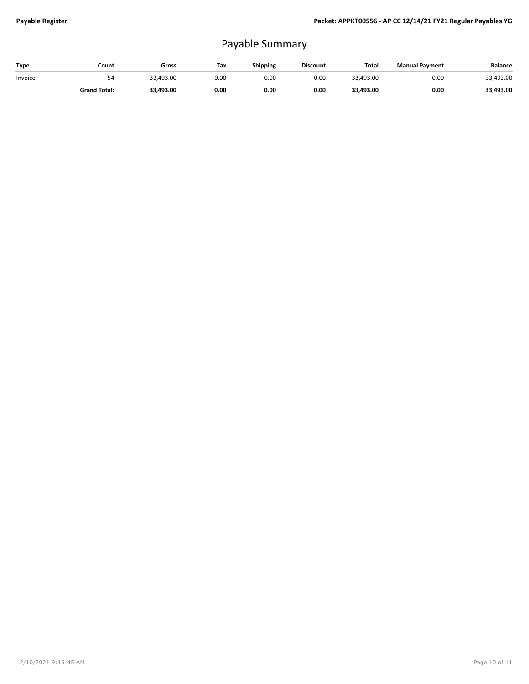## Payable Summary

| Type    | Count               | Gross     | Tax  | Shipping | <b>Discount</b> | Total     | <b>Manual Payment</b> | <b>Balance</b> |
|---------|---------------------|-----------|------|----------|-----------------|-----------|-----------------------|----------------|
| Invoice | 54                  | 33,493.00 | 0.00 | 0.00     | 0.00            | 33,493.00 | 0.00                  | 33,493.00      |
|         | <b>Grand Total:</b> | 33,493.00 | 0.00 | 0.00     | 0.00            | 33,493.00 | 0.00                  | 33,493.00      |